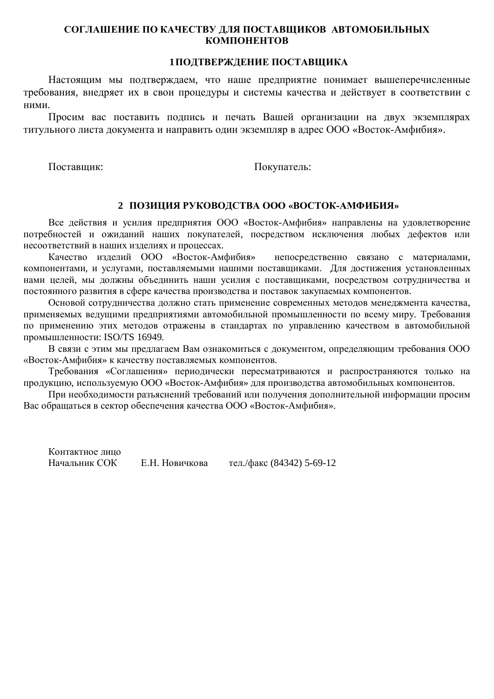### СОГЛАШЕНИЕ ПО КАЧЕСТВУ ДЛЯ ПОСТАВЩИКОВ АВТОМОБИЛЬНЫХ КОМПОНЕНТОВ

#### **1ПОЛТВЕРЖЛЕНИЕ ПОСТАВШИКА**

Настоящим мы подтверждаем, что наше предприятие понимает вышеперечисленные требования, внедряет их в свои процедуры и системы качества и действует в соответствии с ними.

Просим вас поставить подпись и печать Вашей организации на двух экземплярах титульного листа документа и направить один экземпляр в адрес ООО «Восток-Амфибия».

Поставщик: Покупатель:

#### **2 ɉɈɁɂɐɂəɊɍɄɈȼɈȾɋɌȼȺɈɈɈ «ȼɈɋɌɈɄȺɆɎɂȻɂə»**

Все действия и усилия предприятия ООО «Восток-Амфибия» направлены на удовлетворение потребностей и ожиланий наших покупателей, посредством исключения любых дефектов или несоответствий в наших изделиях и процессах.

Качество изделий ООО «Восток-Амфибия» непосредственно связано с материалами, компонентами, и услугами, поставляемыми нашими поставщиками. Для достижения установленных нами целей, мы должны объединить наши усилия с поставщиками, посредством сотрудничества и постоянного развития в сфере качества производства и поставок закупаемых компонентов.

Основой сотрудничества должно стать применение современных методов менеджмента качества, применяемых ведущими предприятиями автомобильной промышленности по всему миру. Требования по применению этих методов отражены в стандартах по управлению качеством в автомобильной промышленности: ISO/TS 16949.

В связи с этим мы предлагаем Вам ознакомиться с документом, определяющим требования ООО «Восток-Амфибия» к качеству поставляемых компонентов.

Требования «Соглашения» периодически пересматриваются и распространяются только на продукцию, используемую ООО «Восток-Амфибия» для производства автомобильных компонентов.

При необходимости разъяснений требований или получения дополнительной информации просим Вас обращаться в сектор обеспечения качества ООО «Восток-Амфибия».

Контактное липо Начальник СОК Е.Н. Новичкова тел./факс (84342) 5-69-12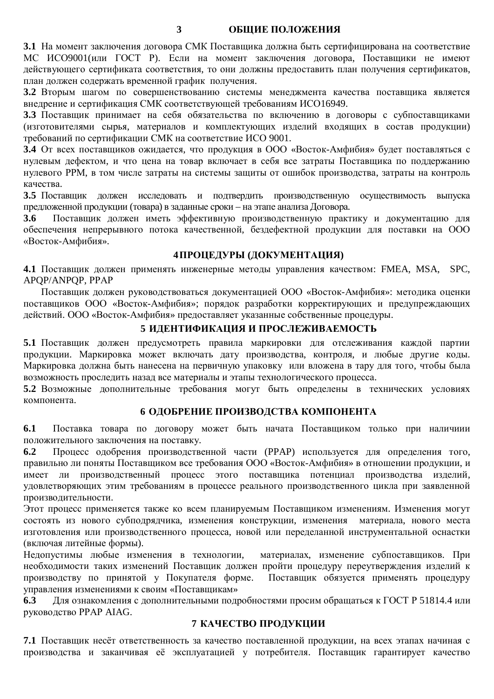**3 ɈȻɓɂȿɉɈɅɈɀȿɇɂə**

3.1 На момент заключения договора СМК Поставщика должна быть сертифицирована на соответствие МС ИСО9001(или ГОСТ Р). Если на момент заключения договора, Поставщики не имеют действующего сертификата соответствия, то они должны предоставить план получения сертификатов, план должен содержать временной график получения.

3.2 Вторым шагом по совершенствованию системы менеджмента качества поставщика является внедрение и сертификация СМК соответствующей требованиям ИСО16949.

3.3 Поставщик принимает на себя обязательства по включению в договоры с субпоставщиками (изготовителями сырья, материалов и комплектующих изделий входящих в состав продукции) требований по сертификации СМК на соответствие ИСО 9001.

**3.4** От всех поставщиков ожидается, что продукция в ООО «Восток-Амфибия» будет поставляться с нулевым дефектом, и что цена на товар включает в себя все затраты Поставщика по поддержанию нулевого РРМ, в том числе затраты на системы зашиты от ошибок производства, затраты на контроль качества.

**3.5** Поставщик должен исследовать и подтвердить производственную осуществимость выпуска предложенной продукции (товара) в заданные сроки – на этапе анализа Договора.

3.6 Поставщик должен иметь эффективную производственную практику и документацию для обеспечения непрерывного потока качественной, бездефектной продукции для поставки на ООО «Восток-Амфибия».

# **4ɉɊɈɐȿȾɍɊɕ (ȾɈɄɍɆȿɇɌȺɐɂə)**

4.1 Поставщик должен применять инженерные методы управления качеством: FMEA, MSA, SPC, APOP/ANPOP, PPAP

Поставщик должен руководствоваться документацией ООО «Восток-Амфибия»: методика оценки поставщиков ООО «Восток-Амфибия»; порядок разработки корректирующих и предупреждающих действий. ООО «Восток-Амфибия» предоставляет указанные собственные процедуры.

## **5** ИДЕНТИФИКАЦИЯ И ПРОСЛЕЖИВАЕМОСТЬ

5.1 Поставщик должен предусмотреть правила маркировки для отслеживания каждой партии продукции. Маркировка может включать дату производства, контроля, и любые другие коды. Маркировка должна быть нанесена на первичную упаковку или вложена в тару для того, чтобы была возможность проследить назад все материалы и этапы технологического процесса.

5.2 Возможные дополнительные требования могут быть определены в технических условиях компонента.

### **6** ОДОБРЕНИЕ ПРОИЗВОДСТВА КОМПОНЕНТА

**6.1** Поставка товара по договору может быть начата Поставщиком только при наличиии положительного заключения на поставку.

**6.2** Процесс одобрения производственной части (PPAP) используется для определения того, правильно ли поняты Поставщиком все требования ООО «Восток-Амфибия» в отношении продукции, и имеет ли производственный процесс этого поставщика потенциал производства изделий, удовлетворяющих этим требованиям в процессе реального производственного цикла при заявленной производительности.

Этот процесс применяется также ко всем планируемым Поставщиком изменениям. Изменения могут состоять из нового субподрядчика, изменения конструкции, изменения материала, нового места изготовления или произволственного процесса, новой или переделанной инструментальной оснастки (включая литейные формы).

Недопустимы любые изменения в технологии, материалах, изменение субпоставщиков. При необходимости таких изменений Поставщик должен пройти процедуру переутверждения изделий к производству по принятой у Покупателя форме. Поставщик обязуется применять процедуру управления изменениями к своим «Поставщикам»

6.3 Для ознакомления с дополнительными подробностями просим обращаться к ГОСТ Р 51814.4 или руководство PPAP AIAG.

# **7 КАЧЕСТВО ПРОДУКЦИИ**

**7.1** Поставщик несёт ответственность за качество поставленной продукции, на всех этапах начиная с производства и заканчивая её эксплуатацией у потребителя. Поставщик гарантирует качество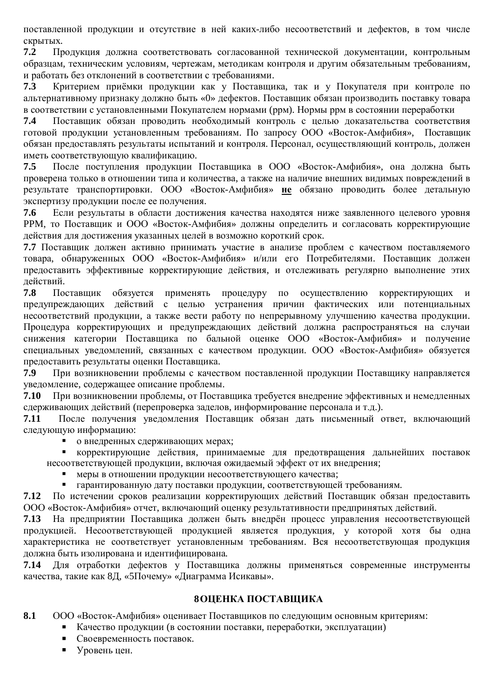поставленной продукции и отсутствие в ней каких-либо несоответствий и дефектов, в том числе скрытых.

7.2 Продукция должна соответствовать согласованной технической документации, контрольным образцам, техническим условиям, чертежам, методикам контроля и другим обязательным требованиям, и работать без отклонений в соответствии с требованиями.

**7.3** Критерием приёмки продукции как у Поставщика, так и у Покупателя при контроле по альтернативному признаку должно быть «0» дефектов. Поставщик обязан производить поставку товара в соответствии с установленными Покупателем нормами (ррм). Нормы ррм в состоянии переработки

7.4 Поставщик обязан проводить необходимый контроль с целью доказательства соответствия готовой продукции установленным требованиям. По запросу ООО «Восток-Амфибия». Поставшик обязан предоставлять результаты испытаний и контроля. Персонал, осуществляющий контроль, должен иметь соответствующую квалификацию.

7.5 После поступления продукции Поставщика в ООО «Восток-Амфибия», она должна быть проверена только в отношении типа и количества, а также на наличие внешних видимых повреждений в результате транспортировки. ООО «Восток-Амфибия» **не** обязано проводить более детальную экспертизу продукции после ее получения.

7.6 Если результаты в области достижения качества находятся ниже заявленного целевого уровня РРМ, то Поставшик и ООО «Восток-Амфибия» должны определить и согласовать корректирующие действия для достижения указанных целей в возможно короткий срок.

7.7 Поставщик должен активно принимать участие в анализе проблем с качеством поставляемого товара, обнаруженных ООО «Восток-Амфибия» и/или его Потребителями. Поставщик должен предоставить эффективные корректирующие действия, и отслеживать регулярно выполнение этих действий.

7.8 Поставщик обязуется применять процедуру по осуществлению корректирующих и предупреждающих действий с целью устранения причин фактических или потенциальных несоответствий продукции, а также вести работу по непрерывному улучшению качества продукции. Процедура корректирующих и предупреждающих действий должна распространяться на случаи снижения категории Поставщика по бальной оценке ООО «Восток-Амфибия» и получение специальных уведомлений, связанных с качеством продукции. ООО «Восток-Амфибия» обязуется предоставить результаты оценки Поставщика.

7.9 При возникновении проблемы с качеством поставленной продукции Поставщику направляется уведомление, содержащее описание проблемы.

7.10 При возникновении проблемы, от Поставщика требуется внедрение эффективных и немедленных слерживающих лействий (перепроверка заделов, информирование персонала и т.д.).

7.11 После получения уведомления Поставщик обязан дать письменный ответ, включающий следующую информацию:

о внедренных сдерживающих мерах;

корректирующие действия, принимаемые для предотвращения дальнейших поставок несоответствующей продукции, включая ожидаемый эффект от их внедрения;

меры в отношении продукции несоответствующего качества;

гарантированную дату поставки продукции, соответствующей требованиям.

7.12 По истечении сроков реализации корректирующих действий Поставщик обязан предоставить ООО «Восток-Амфибия» отчет, включающий оценку результативности предпринятых действий.

7.13 На предприятии Поставщика должен быть внедрён процесс управления несоответствующей продукцией. Несоответствующей продукцией является продукция, у которой хотя бы одна характеристика не соответствует установленным требованиям. Вся несоответствующая продукция должна быть изолирована и илентифицирована.

7.14 Для отработки дефектов у Поставщика должны применяться современные инструменты качества, такие как 8Д, «5Почему» «Диаграмма Исикавы».

# **8OШЕНКА ПОСТАВШИКА**

**8.1** ООО «Восток-Амфибия» оценивает Поставщиков по следующим основным критериям:

- Качество продукции (в состоянии поставки, переработки, эксплуатации)
- Своевременность поставок.
- Уровень цен.